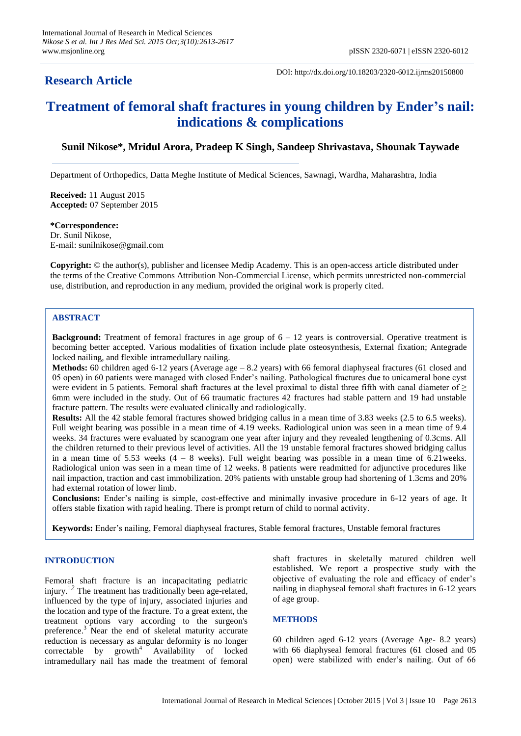# **Research Article**

DOI: http://dx.doi.org/10.18203/2320-6012.ijrms20150800

# **Treatment of femoral shaft fractures in young children by Ender's nail: indications & complications**

## **Sunil Nikose\*, Mridul Arora, Pradeep K Singh, Sandeep Shrivastava, Shounak Taywade**

Department of Orthopedics, Datta Meghe Institute of Medical Sciences, Sawnagi, Wardha, Maharashtra, India

**Received:** 11 August 2015 **Accepted:** 07 September 2015

# **\*Correspondence:**

Dr. Sunil Nikose, E-mail: sunilnikose@gmail.com

**Copyright:** © the author(s), publisher and licensee Medip Academy. This is an open-access article distributed under the terms of the Creative Commons Attribution Non-Commercial License, which permits unrestricted non-commercial use, distribution, and reproduction in any medium, provided the original work is properly cited.

## **ABSTRACT**

**Background:** Treatment of femoral fractures in age group of  $6 - 12$  years is controversial. Operative treatment is becoming better accepted. Various modalities of fixation include plate osteosynthesis, External fixation; Antegrade locked nailing, and flexible intramedullary nailing.

**Methods:** 60 children aged 6-12 years (Average age – 8.2 years) with 66 femoral diaphyseal fractures (61 closed and 05 open) in 60 patients were managed with closed Ender's nailing. Pathological fractures due to unicameral bone cyst were evident in 5 patients. Femoral shaft fractures at the level proximal to distal three fifth with canal diameter of  $\geq$ 6mm were included in the study. Out of 66 traumatic fractures 42 fractures had stable pattern and 19 had unstable fracture pattern. The results were evaluated clinically and radiologically.

**Results:** All the 42 stable femoral fractures showed bridging callus in a mean time of 3.83 weeks (2.5 to 6.5 weeks). Full weight bearing was possible in a mean time of 4.19 weeks. Radiological union was seen in a mean time of 9.4 weeks. 34 fractures were evaluated by scanogram one year after injury and they revealed lengthening of 0.3cms. All the children returned to their previous level of activities. All the 19 unstable femoral fractures showed bridging callus in a mean time of 5.53 weeks  $(4 - 8$  weeks). Full weight bearing was possible in a mean time of 6.21 weeks. Radiological union was seen in a mean time of 12 weeks. 8 patients were readmitted for adjunctive procedures like nail impaction, traction and cast immobilization. 20% patients with unstable group had shortening of 1.3cms and 20% had external rotation of lower limb.

**Conclusions:** Ender's nailing is simple, cost-effective and minimally invasive procedure in 6-12 years of age. It offers stable fixation with rapid healing. There is prompt return of child to normal activity.

**Keywords:** Ender's nailing, Femoral diaphyseal fractures, Stable femoral fractures, Unstable femoral fractures

### **INTRODUCTION**

Femoral shaft fracture is an incapacitating pediatric injury.<sup>1,2</sup> The treatment has traditionally been age-related, influenced by the type of injury, associated injuries and the location and type of the fracture. To a great extent, the treatment options vary according to the surgeon's preference.<sup>3</sup> Near the end of skeletal maturity accurate reduction is necessary as angular deformity is no longer  $correctable$  by  $growth<sup>4</sup>$  Availability of locked intramedullary nail has made the treatment of femoral shaft fractures in skeletally matured children well established. We report a prospective study with the objective of evaluating the role and efficacy of ender's nailing in diaphyseal femoral shaft fractures in 6-12 years of age group.

### **METHODS**

60 children aged 6-12 years (Average Age- 8.2 years) with 66 diaphyseal femoral fractures (61 closed and 05 open) were stabilized with ender's nailing. Out of 66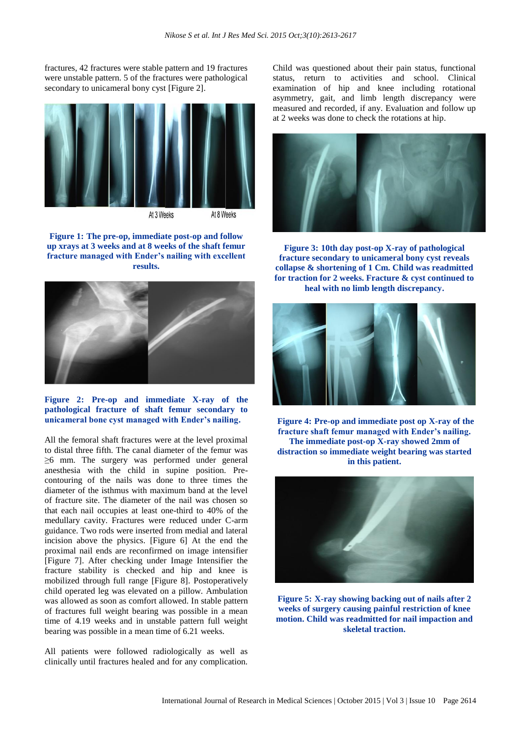fractures, 42 fractures were stable pattern and 19 fractures were unstable pattern. 5 of the fractures were pathological secondary to unicameral bony cyst [Figure 2].



**Figure 1: The pre-op, immediate post-op and follow up xrays at 3 weeks and at 8 weeks of the shaft femur fracture managed with Ender's nailing with excellent results.**



**Figure 2: Pre-op and immediate X-ray of the pathological fracture of shaft femur secondary to unicameral bone cyst managed with Ender's nailing.**

All the femoral shaft fractures were at the level proximal to distal three fifth. The canal diameter of the femur was ≥6 mm. The surgery was performed under general anesthesia with the child in supine position. Precontouring of the nails was done to three times the diameter of the isthmus with maximum band at the level of fracture site. The diameter of the nail was chosen so that each nail occupies at least one-third to 40% of the medullary cavity. Fractures were reduced under C-arm guidance. Two rods were inserted from medial and lateral incision above the physics. [Figure 6] At the end the proximal nail ends are reconfirmed on image intensifier [Figure 7]. After checking under Image Intensifier the fracture stability is checked and hip and knee is mobilized through full range [Figure 8]. Postoperatively child operated leg was elevated on a pillow. Ambulation was allowed as soon as comfort allowed. In stable pattern of fractures full weight bearing was possible in a mean time of 4.19 weeks and in unstable pattern full weight bearing was possible in a mean time of 6.21 weeks.

All patients were followed radiologically as well as clinically until fractures healed and for any complication. Child was questioned about their pain status, functional status, return to activities and school. Clinical examination of hip and knee including rotational asymmetry, gait, and limb length discrepancy were measured and recorded, if any. Evaluation and follow up at 2 weeks was done to check the rotations at hip.



**Figure 3: 10th day post-op X-ray of pathological fracture secondary to unicameral bony cyst reveals collapse & shortening of 1 Cm. Child was readmitted for traction for 2 weeks. Fracture & cyst continued to heal with no limb length discrepancy.**



**Figure 4: Pre-op and immediate post op X-ray of the fracture shaft femur managed with Ender's nailing. The immediate post-op X-ray showed 2mm of distraction so immediate weight bearing was started in this patient.**



**Figure 5: X-ray showing backing out of nails after 2 weeks of surgery causing painful restriction of knee motion. Child was readmitted for nail impaction and skeletal traction.**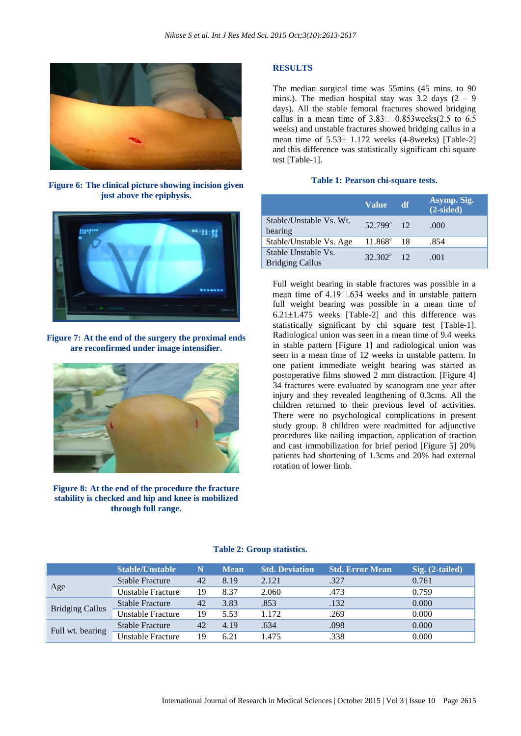

**Figure 6: The clinical picture showing incision given just above the epiphysis.**



**Figure 7: At the end of the surgery the proximal ends are reconfirmed under image intensifier.**



**Figure 8: At the end of the procedure the fracture stability is checked and hip and knee is mobilized through full range.**

### **RESULTS**

The median surgical time was 55mins (45 mins. to 90 mins.). The median hospital stay was  $3.2$  days  $(2 - 9)$ days). All the stable femoral fractures showed bridging callus in a mean time of  $3.83 \square$  0.853 weeks (2.5 to 6.5) weeks) and unstable fractures showed bridging callus in a mean time of  $5.53 \pm 1.172$  weeks (4-8weeks) [Table-2] and this difference was statistically significant chi square test [Table-1].

#### **Table 1: Pearson chi-square tests.**

|                                               | <b>Value</b>           | df. | Asymp. Sig.<br>$(2-sided)$ |
|-----------------------------------------------|------------------------|-----|----------------------------|
| Stable/Unstable Vs. Wt.<br>bearing            | $52.799^{\text{a}}$ 12 |     | .000                       |
| Stable/Unstable Vs. Age                       | $11.868^a$ 18          |     | .854                       |
| Stable Unstable Vs.<br><b>Bridging Callus</b> | $32.302^a$ 12          |     | .001                       |

Full weight bearing in stable fractures was possible in a mean time of  $4.19\Box.634$  weeks and in unstable pattern full weight bearing was possible in a mean time of  $6.21 \pm 1.475$  weeks [Table-2] and this difference was statistically significant by chi square test [Table-1]. Radiological union was seen in a mean time of 9.4 weeks in stable pattern [Figure 1] and radiological union was seen in a mean time of 12 weeks in unstable pattern. In one patient immediate weight bearing was started as postoperative films showed 2 mm distraction. [Figure 4] 34 fractures were evaluated by scanogram one year after injury and they revealed lengthening of 0.3cms. All the children returned to their previous level of activities. There were no psychological complications in present study group. 8 children were readmitted for adjunctive procedures like nailing impaction, application of traction and cast immobilization for brief period [Figure 5] 20% patients had shortening of 1.3cms and 20% had external rotation of lower limb.

|                        | <b>Stable/Unstable</b>   | N  | <b>Mean</b> | <b>Std. Deviation</b> | <b>Std. Error Mean</b> | Sig. (2-tailed) |
|------------------------|--------------------------|----|-------------|-----------------------|------------------------|-----------------|
| Age                    | <b>Stable Fracture</b>   | 42 | 8.19        | 2.121                 | .327                   | 0.761           |
|                        | Unstable Fracture        | 19 | 8.37        | 2.060                 | .473                   | 0.759           |
| <b>Bridging Callus</b> | Stable Fracture          | 42 | 3.83        | .853                  | .132                   | 0.000           |
|                        | <b>Unstable Fracture</b> | 19 | 5.53        | 1.172                 | .269                   | 0.000           |
| Full wt. bearing       | Stable Fracture          | 42 | 4.19        | .634                  | .098                   | 0.000           |
|                        | Unstable Fracture        | 19 | 6.21        | .475                  | .338                   | 0.000           |

#### **Table 2: Group statistics.**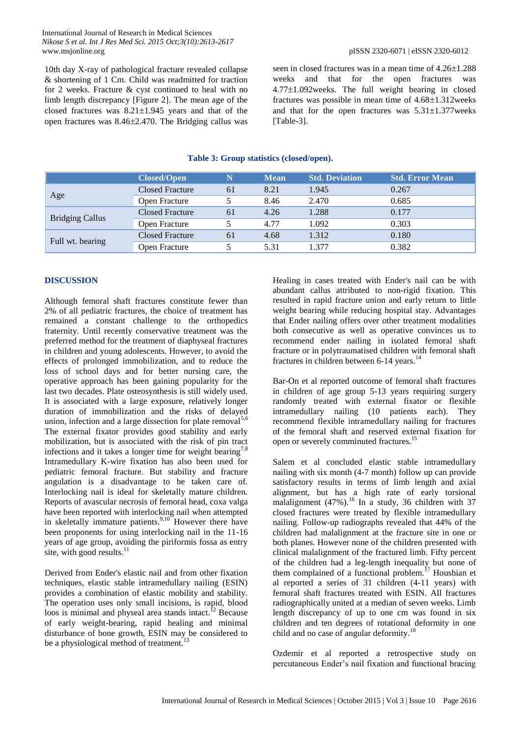10th day X-ray of pathological fracture revealed collapse & shortening of 1 Cm. Child was readmitted for traction for 2 weeks. Fracture & cyst continued to heal with no limb length discrepancy [Figure 2]. The mean age of the closed fractures was  $8.21 \pm 1.945$  years and that of the open fractures was 8.462.470. The Bridging callus was seen in closed fractures was in a mean time of  $4.26\pm1.288$ weeks and that for the open fractures was  $4.77 \pm 1.092$  weeks. The full weight bearing in closed fractures was possible in mean time of  $4.68 \pm 1.312$  weeks and that for the open fractures was  $5.31 \pm 1.377$  weeks [Table-3].

|                        | <b>Closed/Open</b>     |    | <b>Mean</b> | <b>Std. Deviation</b> | <b>Std. Error Mean</b> |
|------------------------|------------------------|----|-------------|-----------------------|------------------------|
| Age                    | <b>Closed Fracture</b> | 61 | 8.21        | 1.945                 | 0.267                  |
|                        | Open Fracture          |    | 8.46        | 2.470                 | 0.685                  |
| <b>Bridging Callus</b> | <b>Closed Fracture</b> | 61 | 4.26        | 1.288                 | 0.177                  |
|                        | Open Fracture          |    | 4.77        | 1.092                 | 0.303                  |
| Full wt. bearing       | <b>Closed Fracture</b> | 61 | 4.68        | 1.312                 | 0.180                  |
|                        | Open Fracture          |    | 5.31        | 1 377                 | 0.382                  |

## **Table 3: Group statistics (closed/open).**

## **DISCUSSION**

Although femoral shaft fractures constitute fewer than 2% of all pediatric fractures, the choice of treatment has remained a constant challenge to the orthopedics fraternity. Until recently conservative treatment was the preferred method for the treatment of diaphyseal fractures in children and young adolescents. However, to avoid the effects of prolonged immobilization, and to reduce the loss of school days and for better nursing care, the operative approach has been gaining popularity for the last two decades. Plate osteosynthesis is still widely used. It is associated with a large exposure, relatively longer duration of immobilization and the risks of delayed union, infection and a large dissection for plate removal<sup>5,6</sup> The external fixator provides good stability and early mobilization, but is associated with the risk of pin tract infections and it takes a longer time for weight bearing<sup>7,8</sup> Intramedullary K-wire fixation has also been used for pediatric femoral fracture. But stability and fracture angulation is a disadvantage to be taken care of. Interlocking nail is ideal for skeletally mature children. Reports of avascular necrosis of femoral head, coxa valga have been reported with interlocking nail when attempted in skeletally immature patients.  $9,10$  However there have been proponents for using interlocking nail in the 11-16 years of age group, avoiding the piriformis fossa as entry site, with good results. $^{11}$ 

Derived from Ender's elastic nail and from other fixation techniques, elastic stable intramedullary nailing (ESIN) provides a combination of elastic mobility and stability. The operation uses only small incisions, is rapid, blood loos is minimal and physeal area stands intact.<sup>12</sup> Because of early weight-bearing, rapid healing and minimal disturbance of bone growth, ESIN may be considered to be a physiological method of treatment.<sup>13</sup>

Healing in cases treated with Ender's nail can be with abundant callus attributed to non-rigid fixation. This resulted in rapid fracture union and early return to little weight bearing while reducing hospital stay. Advantages that Ender nailing offers over other treatment modalities both consecutive as well as operative convinces us to recommend ender nailing in isolated femoral shaft fracture or in polytraumatised children with femoral shaft fractures in children between  $6-14$  years.<sup>14</sup>

Bar-On et al reported outcome of femoral shaft fractures in children of age group 5-13 years requiring surgery randomly treated with external fixator or flexible intramedullary nailing (10 patients each). They recommend flexible intramedullary nailing for fractures of the femoral shaft and reserved external fixation for open or severely comminuted fractures.<sup>1</sup>

Salem et al concluded elastic stable intramedullary nailing with six month (4-7 month) follow up can provide satisfactory results in terms of limb length and axial alignment, but has a high rate of early torsional malalignment  $(47%)$ .<sup>16</sup> In a study, 36 children with 37 closed fractures were treated by flexible intramedullary nailing. Follow-up radiographs revealed that 44% of the children had malalignment at the fracture site in one or both planes. However none of the children presented with clinical malalignment of the fractured limb. Fifty percent of the children had a leg-length inequality but none of them complained of a functional problem.<sup> $17$ </sup> Houshian et al reported a series of 31 children (4-11 years) with femoral shaft fractures treated with ESIN. All fractures radiographically united at a median of seven weeks. Limb length discrepancy of up to one cm was found in six children and ten degrees of rotational deformity in one child and no case of angular deformity.<sup>18</sup>

Ozdemir et al reported a retrospective study on percutaneous Ender's nail fixation and functional bracing